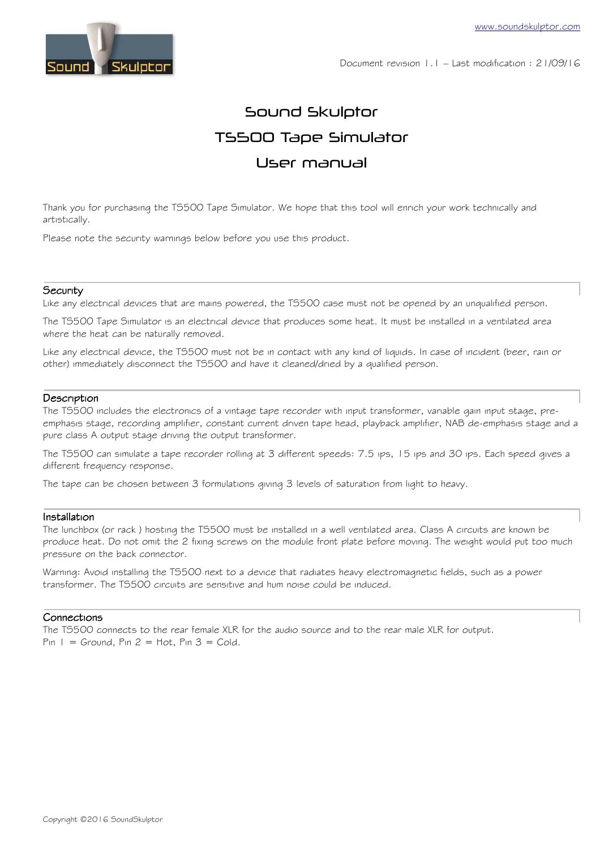

Document revision 1.1 – Last modification : 21/09/16

# Sound Skulptor TS500 Tape Simulator User manual

Thank you for purchasing the TS500 Tape Simulator. We hope that this tool will enrich your work technically and artistically.

Please note the security warnings below before you use this product.

#### **Security**

Like any electrical devices that are mains powered, the TS500 case must not be opened by an unqualified person.

The TS500 Tape Simulator is an electrical device that produces some heat. It must be installed in a ventilated area where the heat can be naturally removed.

Like any electrical device, the TS500 must not be in contact with any kind of liquids. In case of incident (beer, rain or other) immediately disconnect the TS500 and have it cleaned/dried by a qualified person.

#### **Description**

The TS500 includes the electronics of a vintage tape recorder with input transformer, variable gain input stage, preemphasis stage, recording amplifier, constant current driven tape head, playback amplifier, NAB de-emphasis stage and a pure class A output stage driving the output transformer.

The TS500 can simulate a tape recorder rolling at 3 different speeds: 7.5 ips, 15 ips and 30 ips. Each speed gives a different frequency response.

The tape can be chosen between 3 formulations giving 3 levels of saturation from light to heavy.

#### Installation

The lunchbox (or rack ) hosting the TS500 must be installed in a well ventilated area. Class A circuits are known be produce heat. Do not omit the 2 fixing screws on the module front plate before moving. The weight would put too much pressure on the back connector.

Warning: Avoid installing the TS500 next to a device that radiates heavy electromagnetic fields, such as a power transformer. The TS500 circuits are sensitive and hum noise could be induced.

# Connections

The TS500 connects to the rear female XLR for the audio source and to the rear male XLR for output. Pin  $1 =$  Ground, Pin  $2 =$  Hot, Pin  $3 =$  Cold.